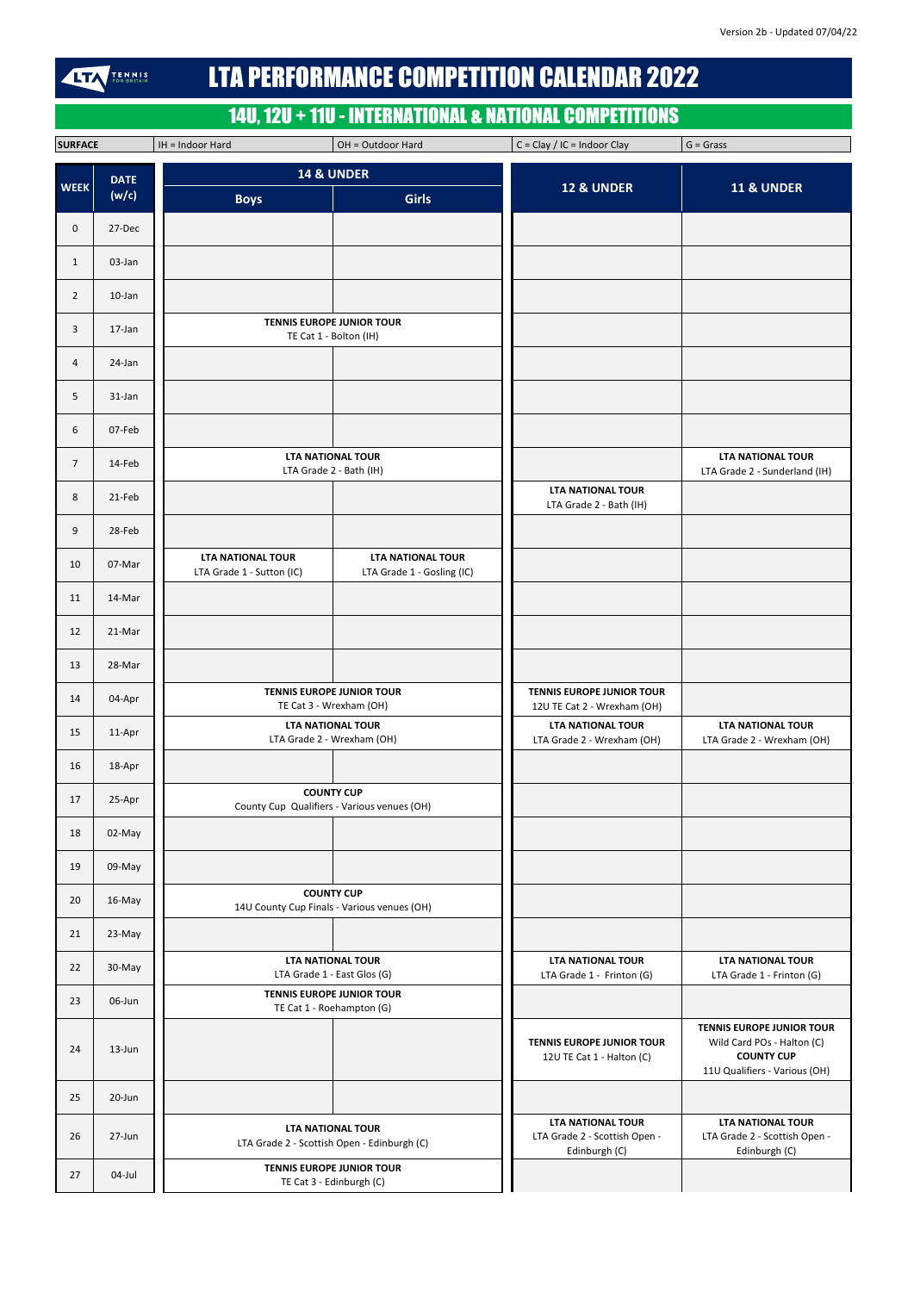| <b>LTA PERFORMANCE COMPETITION CALENDAR 2022</b><br><b>TENNIS</b><br>FOR BRITAIN<br>IL 7 |             |                                                       |                                                                  |                                                                 |                                                           |  |
|------------------------------------------------------------------------------------------|-------------|-------------------------------------------------------|------------------------------------------------------------------|-----------------------------------------------------------------|-----------------------------------------------------------|--|
|                                                                                          |             |                                                       |                                                                  | 14U, 12U + 11U - INTERNATIONAL & NATIONAL COMPETITIONS          |                                                           |  |
| <b>SURFACE</b>                                                                           |             | IH = Indoor Hard                                      | OH = Outdoor Hard                                                | $C = Clay / IC = Indoor Clay$                                   | $G = Grass$                                               |  |
| <b>WEEK</b>                                                                              | <b>DATE</b> | <b>14 &amp; UNDER</b>                                 |                                                                  | <b>12 &amp; UNDER</b>                                           | <b>11 &amp; UNDER</b>                                     |  |
|                                                                                          | (w/c)       | <b>Boys</b>                                           | <b>Girls</b>                                                     |                                                                 |                                                           |  |
| $\mathbf 0$                                                                              | 27-Dec      |                                                       |                                                                  |                                                                 |                                                           |  |
| $\mathbf{1}$                                                                             | 03-Jan      |                                                       |                                                                  |                                                                 |                                                           |  |
| $\overline{2}$                                                                           | $10$ -Jan   |                                                       |                                                                  |                                                                 |                                                           |  |
| 3                                                                                        | 17-Jan      |                                                       | <b>TENNIS EUROPE JUNIOR TOUR</b><br>TE Cat 1 - Bolton (IH)       |                                                                 |                                                           |  |
| 4                                                                                        | 24-Jan      |                                                       |                                                                  |                                                                 |                                                           |  |
| 5                                                                                        | 31-Jan      |                                                       |                                                                  |                                                                 |                                                           |  |
| 6                                                                                        | 07-Feb      |                                                       |                                                                  |                                                                 |                                                           |  |
| $\overline{7}$                                                                           | 14-Feb      |                                                       | <b>LTA NATIONAL TOUR</b><br>LTA Grade 2 - Bath (IH)              |                                                                 | <b>LTA NATIONAL TOUR</b><br>LTA Grade 2 - Sunderland (IH) |  |
| 8                                                                                        | 21-Feb      |                                                       |                                                                  | <b>LTA NATIONAL TOUR</b><br>LTA Grade 2 - Bath (IH)             |                                                           |  |
| 9                                                                                        | 28-Feb      |                                                       |                                                                  |                                                                 |                                                           |  |
| 10                                                                                       | 07-Mar      | <b>LTA NATIONAL TOUR</b><br>LTA Grade 1 - Sutton (IC) | <b>LTA NATIONAL TOUR</b><br>LTA Grade 1 - Gosling (IC)           |                                                                 |                                                           |  |
| 11                                                                                       | 14-Mar      |                                                       |                                                                  |                                                                 |                                                           |  |
| 12                                                                                       | 21-Mar      |                                                       |                                                                  |                                                                 |                                                           |  |
| 13                                                                                       | 28-Mar      |                                                       |                                                                  |                                                                 |                                                           |  |
| 14                                                                                       | 04-Apr      |                                                       | <b>TENNIS EUROPE JUNIOR TOUR</b><br>TE Cat 3 - Wrexham (OH)      | <b>TENNIS EUROPE JUNIOR TOUR</b><br>12U TE Cat 2 - Wrexham (OH) |                                                           |  |
| 15                                                                                       | 11-Apr      |                                                       | <b>LTA NATIONAL TOUR</b><br>LTA Grade 2 - Wrexham (OH)           | <b>LTA NATIONAL TOUR</b><br>LTA Grade 2 - Wrexham (OH)          | <b>LTA NATIONAL TOUR</b><br>LTA Grade 2 - Wrexham (OH)    |  |
| 16                                                                                       | 18-Apr      |                                                       |                                                                  |                                                                 |                                                           |  |
| 17                                                                                       | 25-Apr      |                                                       | <b>COUNTY CUP</b><br>County Cup Qualifiers - Various venues (OH) |                                                                 |                                                           |  |
| 18                                                                                       | 02-May      |                                                       |                                                                  |                                                                 |                                                           |  |
| 19                                                                                       | 09-May      |                                                       |                                                                  |                                                                 |                                                           |  |
| 20                                                                                       | 16-May      |                                                       | <b>COUNTY CUP</b><br>14U County Cup Finals - Various venues (OH) |                                                                 |                                                           |  |
| 21                                                                                       | 23-May      |                                                       |                                                                  |                                                                 |                                                           |  |
| 22                                                                                       | 30-May      |                                                       | <b>LTA NATIONAL TOUR</b><br>$ITA$ Grade 1 East Glos $(G)$        | <b>LTA NATIONAL TOUR</b><br>$TA$ Crade 1 Exinton $(C)$          | <b>LTA NATIONAL TOUR</b><br>$TA$ Crade 1 Exinten $(C)$    |  |

| 22 | 30-May     | LIA NATIONAL TOUR<br>LTA Grade 1 - East Glos (G)                        | LIA NATIONAL TOUR<br>LTA Grade 1 - Frinton (G)                             | LIA NATIONAL TOUR<br>LTA Grade 1 - Frinton (G)                                                                       |
|----|------------|-------------------------------------------------------------------------|----------------------------------------------------------------------------|----------------------------------------------------------------------------------------------------------------------|
| 23 | 06-Jun     | <b>TENNIS EUROPE JUNIOR TOUR</b><br>TE Cat 1 - Roehampton (G)           |                                                                            |                                                                                                                      |
| 24 | $13 - Jun$ |                                                                         | <b>TENNIS EUROPE JUNIOR TOUR</b><br>12U TE Cat 1 - Halton (C)              | <b>TENNIS EUROPE JUNIOR TOUR</b><br>Wild Card POs - Halton (C)<br><b>COUNTY CUP</b><br>11U Qualifiers - Various (OH) |
| 25 | 20-Jun     |                                                                         |                                                                            |                                                                                                                      |
| 26 | $27 - Jun$ | <b>LTA NATIONAL TOUR</b><br>LTA Grade 2 - Scottish Open - Edinburgh (C) | <b>LTA NATIONAL TOUR</b><br>LTA Grade 2 - Scottish Open -<br>Edinburgh (C) | <b>LTA NATIONAL TOUR</b><br>LTA Grade 2 - Scottish Open -<br>Edinburgh (C)                                           |
| 27 | 04-Jul     | <b>TENNIS EUROPE JUNIOR TOUR</b><br>TE Cat 3 - Edinburgh (C)            |                                                                            |                                                                                                                      |